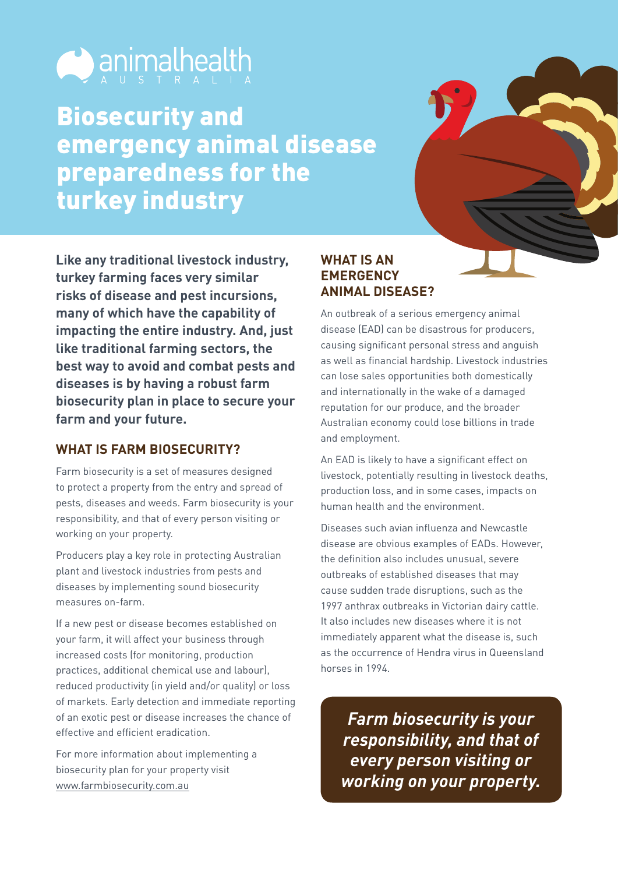

## Biosecurity and emergency animal disease preparedness for the turkey industry



**Like any traditional livestock industry, turkey farming faces very similar risks of disease and pest incursions, many of which have the capability of impacting the entire industry. And, just like traditional farming sectors, the best way to avoid and combat pests and diseases is by having a robust farm biosecurity plan in place to secure your farm and your future.**

## **WHAT IS FARM BIOSECURITY?**

Farm biosecurity is a set of measures designed to protect a property from the entry and spread of pests, diseases and weeds. Farm biosecurity is your responsibility, and that of every person visiting or working on your property.

Producers play a key role in protecting Australian plant and livestock industries from pests and diseases by implementing sound biosecurity measures on-farm.

If a new pest or disease becomes established on your farm, it will affect your business through increased costs (for monitoring, production practices, additional chemical use and labour), reduced productivity (in yield and/or quality) or loss of markets. Early detection and immediate reporting of an exotic pest or disease increases the chance of effective and efficient eradication.

For more information about implementing a biosecurity plan for your property visit [www.farmbiosecurity.com.au](http://www.farmbiosecurity.com.au)

## **WHAT IS AN EMERGENCY ANIMAL DISEASE?**

An outbreak of a serious emergency animal disease (EAD) can be disastrous for producers, causing significant personal stress and anguish as well as financial hardship. Livestock industries can lose sales opportunities both domestically and internationally in the wake of a damaged reputation for our produce, and the broader Australian economy could lose billions in trade and employment.

An EAD is likely to have a significant effect on livestock, potentially resulting in livestock deaths, production loss, and in some cases, impacts on human health and the environment.

Diseases such avian influenza and Newcastle disease are obvious examples of EADs. However, the definition also includes unusual, severe outbreaks of established diseases that may cause sudden trade disruptions, such as the 1997 anthrax outbreaks in Victorian dairy cattle. It also includes new diseases where it is not immediately apparent what the disease is, such as the occurrence of Hendra virus in Queensland horses in 1994.

*Farm biosecurity is your responsibility, and that of every person visiting or working on your property.*